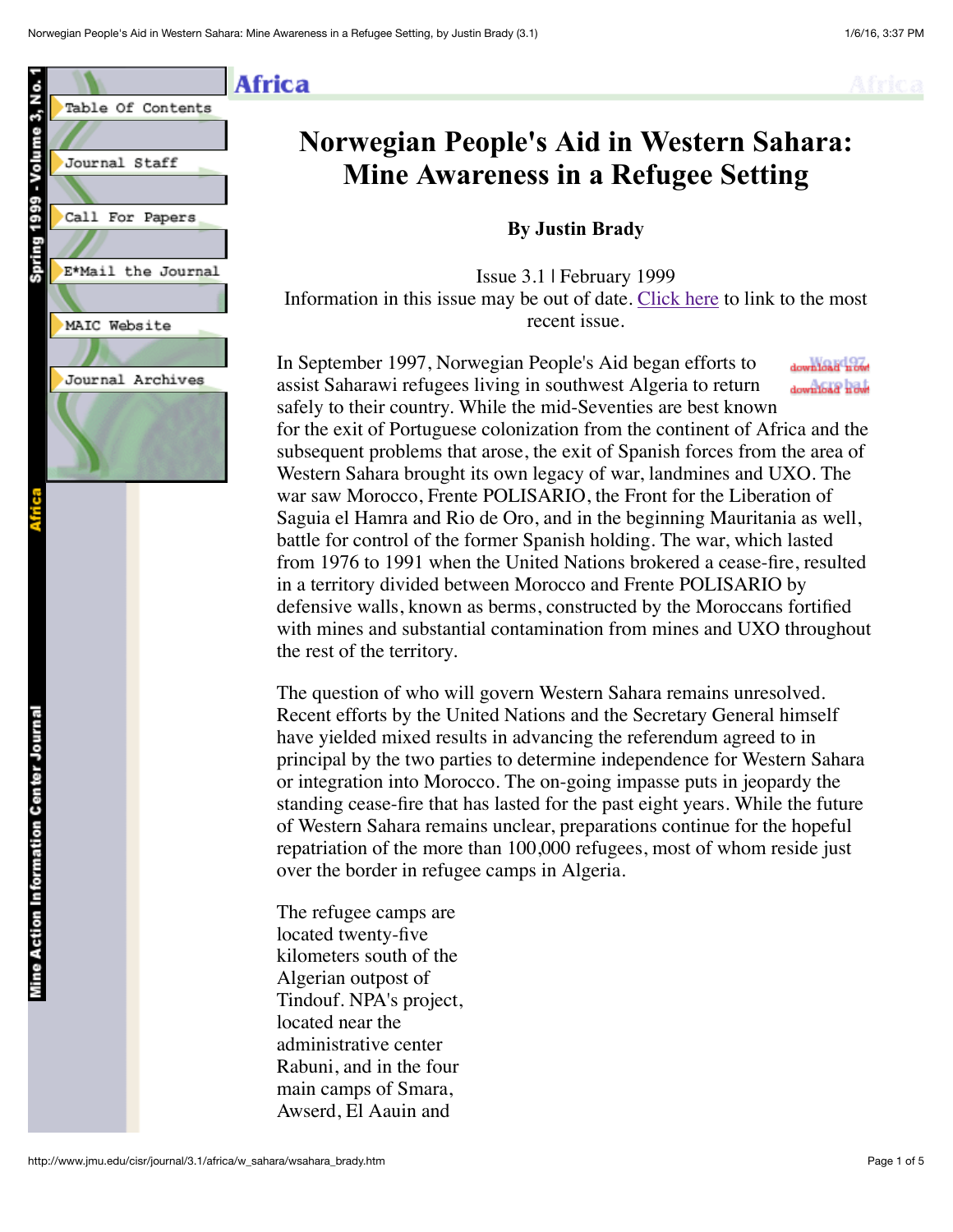

# **Norwegian People's Aid in Western Sahara: Mine Awareness in a Refugee Setting**

#### **By Justin Brady**

Issue 3.1 | February 1999 Information in this issue may be out of date. [Click here](http://www.jmu.edu/cisr/journal/current.shtml) to link to the most recent issue.

In September 1997, Norwegian People's Aid began efforts to download now assist Saharawi refugees living in southwest Algeria to return download now! safely to their country. While the mid-Seventies are best known for the exit of Portuguese colonization from the continent of Africa and the subsequent problems that arose, the exit of Spanish forces from the area of Western Sahara brought its own legacy of war, landmines and UXO. The war saw Morocco, Frente POLISARIO, the Front for the Liberation of Saguia el Hamra and Rio de Oro, and in the beginning Mauritania as well, battle for control of the former Spanish holding. The war, which lasted from 1976 to 1991 when the United Nations brokered a cease-fire, resulted in a territory divided between Morocco and Frente POLISARIO by defensive walls, known as berms, constructed by the Moroccans fortified with mines and substantial contamination from mines and UXO throughout the rest of the territory.

The question of who will govern Western Sahara remains unresolved. Recent efforts by the United Nations and the Secretary General himself have yielded mixed results in advancing the referendum agreed to in principal by the two parties to determine independence for Western Sahara or integration into Morocco. The on-going impasse puts in jeopardy the standing cease-fire that has lasted for the past eight years. While the future of Western Sahara remains unclear, preparations continue for the hopeful repatriation of the more than 100,000 refugees, most of whom reside just over the border in refugee camps in Algeria.

The refugee camps are located twenty-five kilometers south of the Algerian outpost of Tindouf. NPA's project, located near the administrative center Rabuni, and in the four main camps of Smara, Awserd, El Aauin and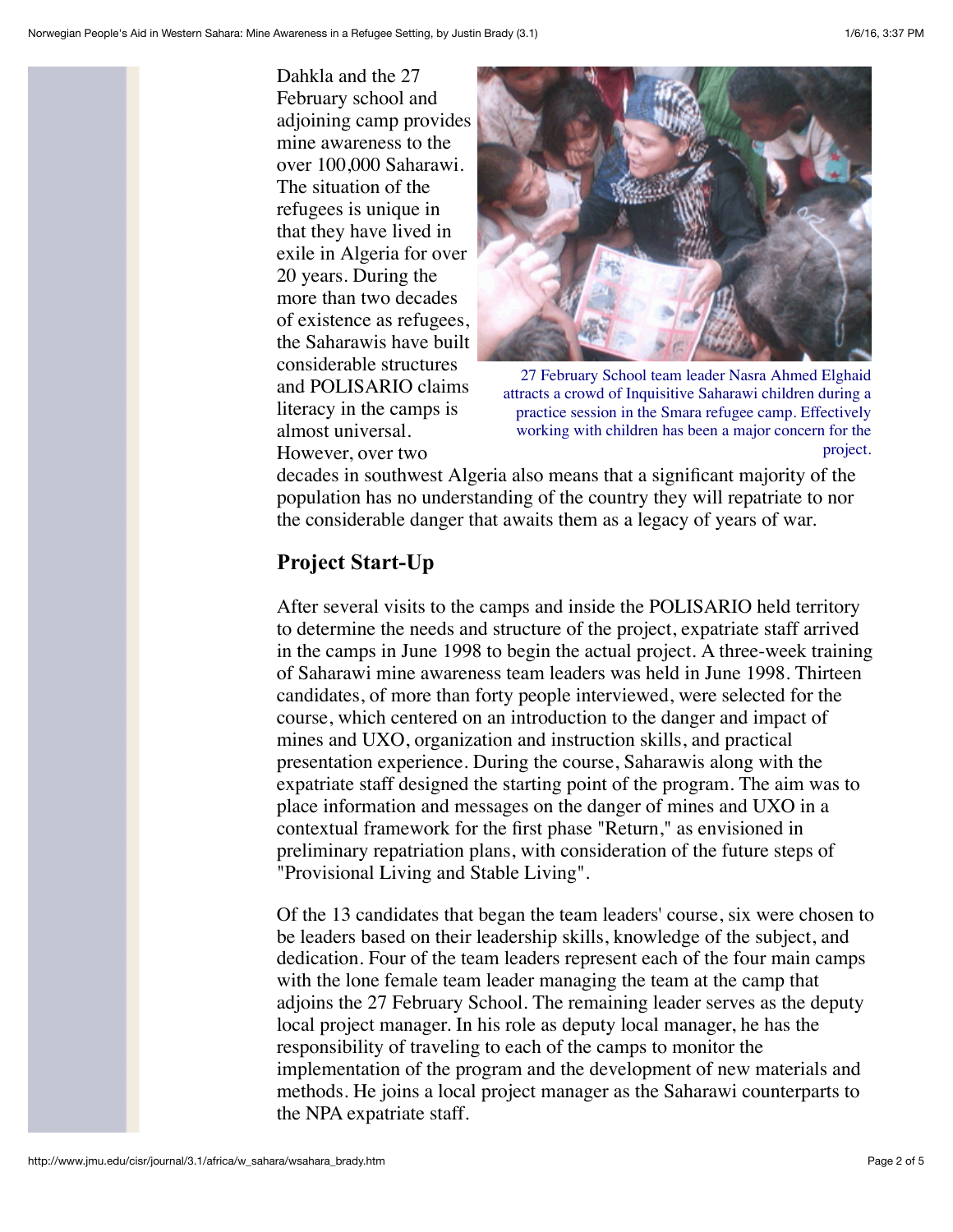Dahkla and the 27 February school and adjoining camp provides mine awareness to the over 100,000 Saharawi. The situation of the refugees is unique in that they have lived in exile in Algeria for over 20 years. During the more than two decades of existence as refugees, the Saharawis have built considerable structures and POLISARIO claims literacy in the camps is almost universal. However, over two



27 February School team leader Nasra Ahmed Elghaid attracts a crowd of Inquisitive Saharawi children during a practice session in the Smara refugee camp. Effectively working with children has been a major concern for the project.

decades in southwest Algeria also means that a significant majority of the population has no understanding of the country they will repatriate to nor the considerable danger that awaits them as a legacy of years of war.

## **Project Start-Up**

After several visits to the camps and inside the POLISARIO held territory to determine the needs and structure of the project, expatriate staff arrived in the camps in June 1998 to begin the actual project. A three-week training of Saharawi mine awareness team leaders was held in June 1998. Thirteen candidates, of more than forty people interviewed, were selected for the course, which centered on an introduction to the danger and impact of mines and UXO, organization and instruction skills, and practical presentation experience. During the course, Saharawis along with the expatriate staff designed the starting point of the program. The aim was to place information and messages on the danger of mines and UXO in a contextual framework for the first phase "Return," as envisioned in preliminary repatriation plans, with consideration of the future steps of "Provisional Living and Stable Living".

Of the 13 candidates that began the team leaders' course, six were chosen to be leaders based on their leadership skills, knowledge of the subject, and dedication. Four of the team leaders represent each of the four main camps with the lone female team leader managing the team at the camp that adjoins the 27 February School. The remaining leader serves as the deputy local project manager. In his role as deputy local manager, he has the responsibility of traveling to each of the camps to monitor the implementation of the program and the development of new materials and methods. He joins a local project manager as the Saharawi counterparts to the NPA expatriate staff.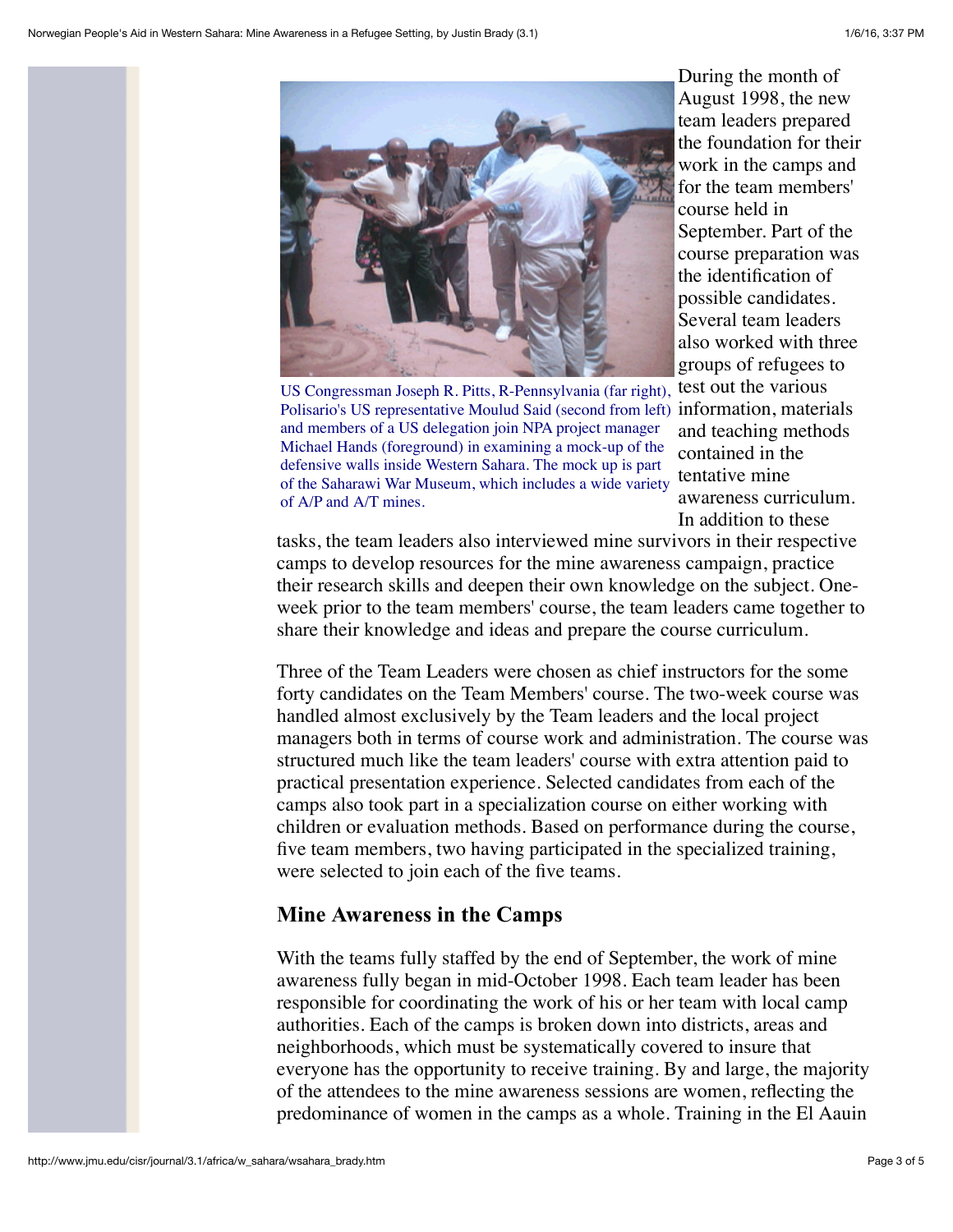

US Congressman Joseph R. Pitts, R-Pennsylvania (far right), test out the various Polisario's US representative Moulud Said (second from left) information, materials and members of a US delegation join NPA project manager Michael Hands (foreground) in examining a mock-up of the defensive walls inside Western Sahara. The mock up is part of the Saharawi War Museum, which includes a wide variety of A/P and A/T mines.

During the month of August 1998, the new team leaders prepared the foundation for their work in the camps and for the team members' course held in September. Part of the course preparation was the identification of possible candidates. Several team leaders also worked with three groups of refugees to and teaching methods contained in the tentative mine awareness curriculum. In addition to these

tasks, the team leaders also interviewed mine survivors in their respective camps to develop resources for the mine awareness campaign, practice their research skills and deepen their own knowledge on the subject. Oneweek prior to the team members' course, the team leaders came together to share their knowledge and ideas and prepare the course curriculum.

Three of the Team Leaders were chosen as chief instructors for the some forty candidates on the Team Members' course. The two-week course was handled almost exclusively by the Team leaders and the local project managers both in terms of course work and administration. The course was structured much like the team leaders' course with extra attention paid to practical presentation experience. Selected candidates from each of the camps also took part in a specialization course on either working with children or evaluation methods. Based on performance during the course, five team members, two having participated in the specialized training, were selected to join each of the five teams.

#### **Mine Awareness in the Camps**

With the teams fully staffed by the end of September, the work of mine awareness fully began in mid-October 1998. Each team leader has been responsible for coordinating the work of his or her team with local camp authorities. Each of the camps is broken down into districts, areas and neighborhoods, which must be systematically covered to insure that everyone has the opportunity to receive training. By and large, the majority of the attendees to the mine awareness sessions are women, reflecting the predominance of women in the camps as a whole. Training in the El Aauin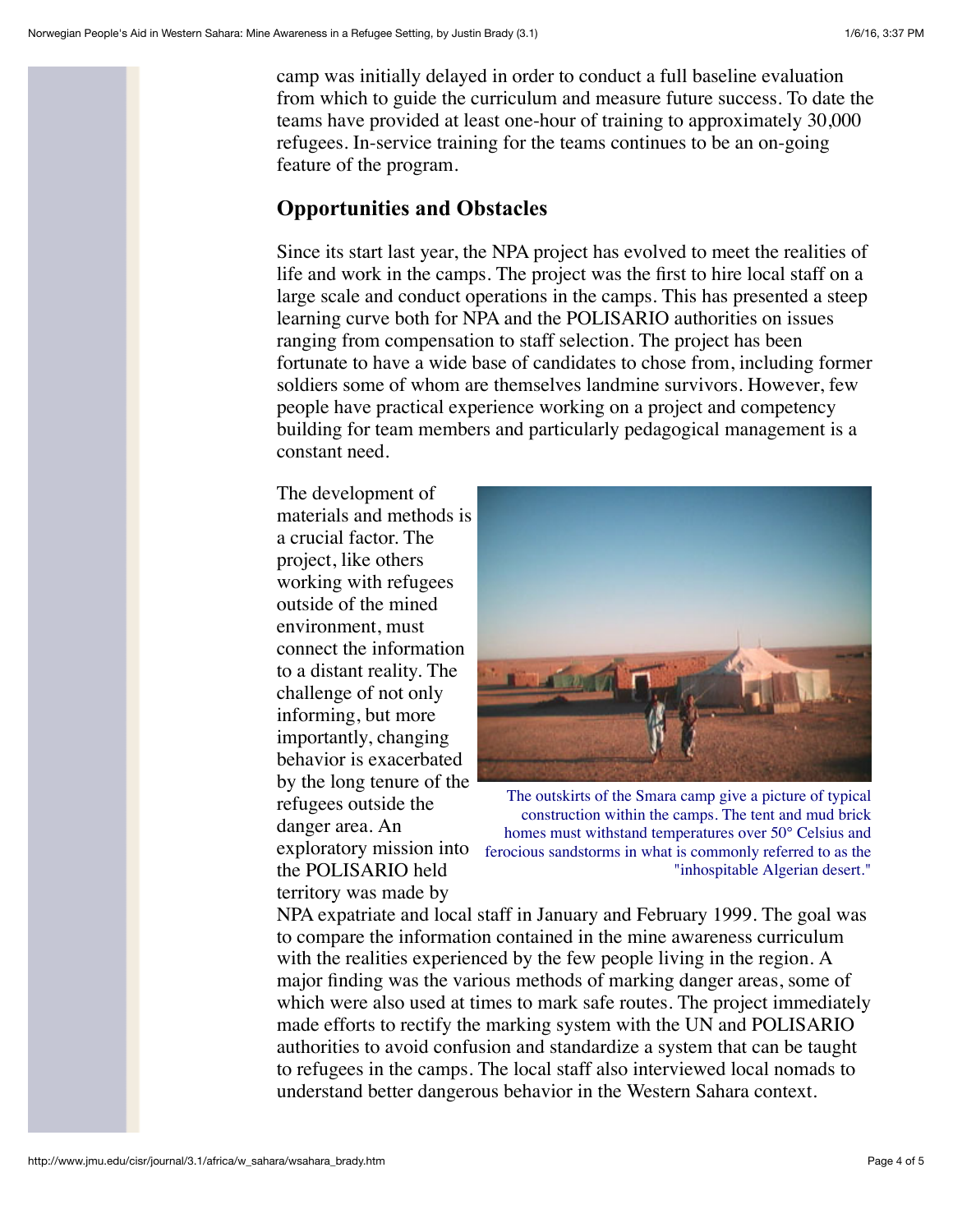camp was initially delayed in order to conduct a full baseline evaluation from which to guide the curriculum and measure future success. To date the teams have provided at least one-hour of training to approximately 30,000 refugees. In-service training for the teams continues to be an on-going feature of the program.

### **Opportunities and Obstacles**

Since its start last year, the NPA project has evolved to meet the realities of life and work in the camps. The project was the first to hire local staff on a large scale and conduct operations in the camps. This has presented a steep learning curve both for NPA and the POLISARIO authorities on issues ranging from compensation to staff selection. The project has been fortunate to have a wide base of candidates to chose from, including former soldiers some of whom are themselves landmine survivors. However, few people have practical experience working on a project and competency building for team members and particularly pedagogical management is a constant need.

The development of materials and methods is a crucial factor. The project, like others working with refugees outside of the mined environment, must connect the information to a distant reality. The challenge of not only informing, but more importantly, changing behavior is exacerbated by the long tenure of the refugees outside the danger area. An exploratory mission into the POLISARIO held territory was made by



The outskirts of the Smara camp give a picture of typical construction within the camps. The tent and mud brick homes must withstand temperatures over 50° Celsius and ferocious sandstorms in what is commonly referred to as the "inhospitable Algerian desert."

NPA expatriate and local staff in January and February 1999. The goal was to compare the information contained in the mine awareness curriculum with the realities experienced by the few people living in the region. A major finding was the various methods of marking danger areas, some of which were also used at times to mark safe routes. The project immediately made efforts to rectify the marking system with the UN and POLISARIO authorities to avoid confusion and standardize a system that can be taught to refugees in the camps. The local staff also interviewed local nomads to understand better dangerous behavior in the Western Sahara context.